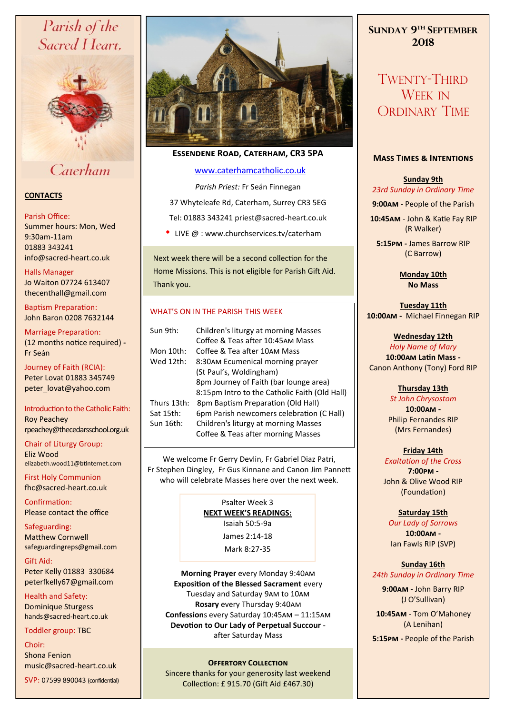# Parish of the Sacred Heart,



# Caterham

## **CONTACTS**

#### Parish Office:

Summer hours: Mon, Wed 9:30am-11am 01883 343241 info@sacred-heart.co.uk .

Halls Manager Jo Waiton 07724 613407 thecenthall@gmail.com

Baptism Preparation: John Baron 0208 7632144

Marriage Preparation: (12 months notice required) **-** Fr Seán

Journey of Faith (RCIA): Peter Lovat 01883 345749 peter\_lovat@yahoo.com

Introduction to the Catholic Faith: Roy Peachey rpeachey@thecedarsschool.org.uk

Chair of Liturgy Group: Eliz Wood elizabeth.wood11@btinternet.com

First Holy Communion fhc@sacred-heart.co.uk

Confirmation: Please contact the office

Safeguarding: Matthew Cornwell safeguardingreps@gmail.com

Gift Aid: Peter Kelly 01883 330684 peterfkelly67@gmail.com

Health and Safety: Dominique Sturgess hands@sacred-heart.co.uk

Toddler group: TBC

#### Choir:

Shona Fenion music@sacred-heart.co.uk

SVP: 07599 890043 (confidential)



## **Essendene Road, Caterham, CR3 5PA**

## [www.caterhamcatholic.co.uk](http://Www.caterhamcatholic.co.uk)

*Parish Priest:* Fr Seán Finnegan 37 Whyteleafe Rd, Caterham, Surrey CR3 5EG Tel: 01883 343241 priest@sacred-heart.co.uk

• LIVE @ : www.churchservices.tv/caterham

Next week there will be a second collection for the Home Missions. This is not eligible for Parish Gift Aid. Thank you.

## WHAT'S ON IN THE PARISH THIS WEEK.

| Sun 9th:    | Children's liturgy at morning Masses          |
|-------------|-----------------------------------------------|
|             | Coffee & Teas after 10:45AM Mass              |
| Mon 10th:   | Coffee & Tea after 10AM Mass                  |
| Wed 12th:   | 8:30AM Ecumenical morning prayer              |
|             | (St Paul's, Woldingham)                       |
|             | 8pm Journey of Faith (bar lounge area)        |
|             | 8:15pm Intro to the Catholic Faith (Old Hall) |
| Thurs 13th: | 8pm Baptism Preparation (Old Hall)            |
| Sat 15th:   | 6pm Parish newcomers celebration (C Hall)     |
| Sun 16th:   | Children's liturgy at morning Masses          |
|             | Coffee & Teas after morning Masses            |

We welcome Fr Gerry Devlin, Fr Gabriel Diaz Patri, Fr Stephen Dingley, Fr Gus Kinnane and Canon Jim Pannett who will celebrate Masses here over the next week.

> Psalter Week 3 **NEXT WEEK'S READINGS:**  Isaiah 50:5-9a James 2:14-18

> > Mark 8:27-35

**Morning Prayer** every Monday 9:40am **Exposition of the Blessed Sacrament** every Tuesday and Saturday 9am to 10am **Rosary** every Thursday 9:40am **Confession**s every Saturday 10:45am – 11:15am **Devotion to Our Lady of Perpetual Succour**  after Saturday Mass

## **OFFERTORY COLLECTION**

Sincere thanks for your generosity last weekend Collection: £ 915.70 (Gift Aid £467.30)

# **SUNDAY 9 TH SEPTEMBER 2018**

TWENTY-THIRD WEEK IN ORDINARY TIME

## **Mass Times & Intentions**

**Sunday 9th** *23rd Sunday in Ordinary Time*

**9:00am** - People of the Parish

.**10:45am** - John & Katie Fay RIP (R Walker)

**5:15pm -** James Barrow RIP (C Barrow)

> **Monday 10th No Mass**

#### **Tuesday 11th 10:00am -** Michael Finnegan RIP

## **Wednesday 12th**

*Holy Name of Mary* **10:00am Latin Mass -** Canon Anthony (Tony) Ford RIP

**Thursday 13th** 

*St John Chrysostom* **10:00am -**  Philip Fernandes RIP (Mrs Fernandes)

## **Friday 14th**

*Exaltation of the Cross* **7:00pm -** John & Olive Wood RIP (Foundation)

## **Saturday 15th**

*Our Lady of Sorrows* **10:00am -**  Ian Fawls RIP (SVP)

## **Sunday 16th** *24th Sunday in Ordinary Time*

**9:00am** - John Barry RIP (J O'Sullivan)

.**10:45am** - Tom O'Mahoney (A Lenihan)

**5:15pm -** People of the Parish